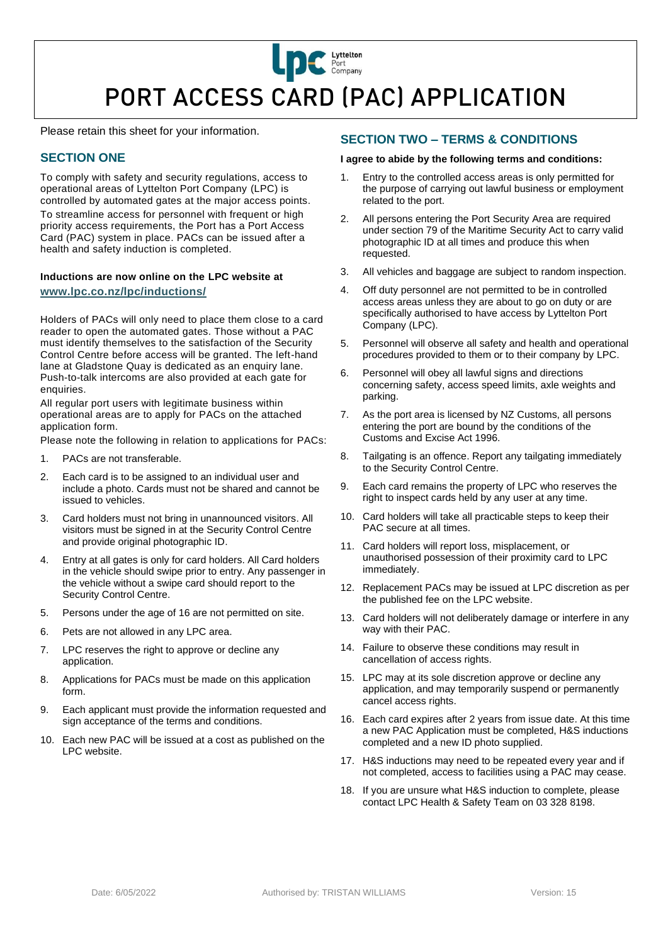# **LIDC** Port Company PORT ACCESS CARD (PAC) APPLICATION

Please retain this sheet for your information.

# **SECTION ONE**

To comply with safety and security regulations, access to operational areas of Lyttelton Port Company (LPC) is controlled by automated gates at the major access points. To streamline access for personnel with frequent or high priority access requirements, the Port has a Port Access Card (PAC) system in place. PACs can be issued after a health and safety induction is completed.

## **Inductions are now online on the LPC website at [www.lpc.co.nz/lpc/inductions/](http://www.lpc.co.nz/lpc/inductions/)**

Holders of PACs will only need to place them close to a card reader to open the automated gates. Those without a PAC must identify themselves to the satisfaction of the Security Control Centre before access will be granted. The left-hand lane at Gladstone Quay is dedicated as an enquiry lane. Push-to-talk intercoms are also provided at each gate for enquiries.

All regular port users with legitimate business within operational areas are to apply for PACs on the attached application form.

Please note the following in relation to applications for PACs:

- 1. PACs are not transferable.
- 2. Each card is to be assigned to an individual user and include a photo. Cards must not be shared and cannot be issued to vehicles.
- 3. Card holders must not bring in unannounced visitors. All visitors must be signed in at the Security Control Centre and provide original photographic ID.
- 4. Entry at all gates is only for card holders. All Card holders in the vehicle should swipe prior to entry. Any passenger in the vehicle without a swipe card should report to the Security Control Centre.
- 5. Persons under the age of 16 are not permitted on site.
- 6. Pets are not allowed in any LPC area.
- 7. LPC reserves the right to approve or decline any application.
- 8. Applications for PACs must be made on this application form.
- 9. Each applicant must provide the information requested and sign acceptance of the terms and conditions.
- 10. Each new PAC will be issued at a cost as published on the LPC website.

## **SECTION TWO – TERMS & CONDITIONS**

#### **I agree to abide by the following terms and conditions:**

- 1. Entry to the controlled access areas is only permitted for the purpose of carrying out lawful business or employment related to the port.
- 2. All persons entering the Port Security Area are required under section 79 of the Maritime Security Act to carry valid photographic ID at all times and produce this when requested.
- 3. All vehicles and baggage are subject to random inspection.
- 4. Off duty personnel are not permitted to be in controlled access areas unless they are about to go on duty or are specifically authorised to have access by Lyttelton Port Company (LPC).
- 5. Personnel will observe all safety and health and operational procedures provided to them or to their company by LPC.
- 6. Personnel will obey all lawful signs and directions concerning safety, access speed limits, axle weights and parking.
- 7. As the port area is licensed by NZ Customs, all persons entering the port are bound by the conditions of the Customs and Excise Act 1996.
- 8. Tailgating is an offence. Report any tailgating immediately to the Security Control Centre.
- 9. Each card remains the property of LPC who reserves the right to inspect cards held by any user at any time.
- 10. Card holders will take all practicable steps to keep their PAC secure at all times.
- 11. Card holders will report loss, misplacement, or unauthorised possession of their proximity card to LPC immediately.
- 12. Replacement PACs may be issued at LPC discretion as per the published fee on the LPC website.
- 13. Card holders will not deliberately damage or interfere in any way with their PAC.
- 14. Failure to observe these conditions may result in cancellation of access rights.
- 15. LPC may at its sole discretion approve or decline any application, and may temporarily suspend or permanently cancel access rights.
- 16. Each card expires after 2 years from issue date. At this time a new PAC Application must be completed, H&S inductions completed and a new ID photo supplied.
- 17. H&S inductions may need to be repeated every year and if not completed, access to facilities using a PAC may cease.
- 18. If you are unsure what H&S induction to complete, please contact LPC Health & Safety Team on 03 328 8198.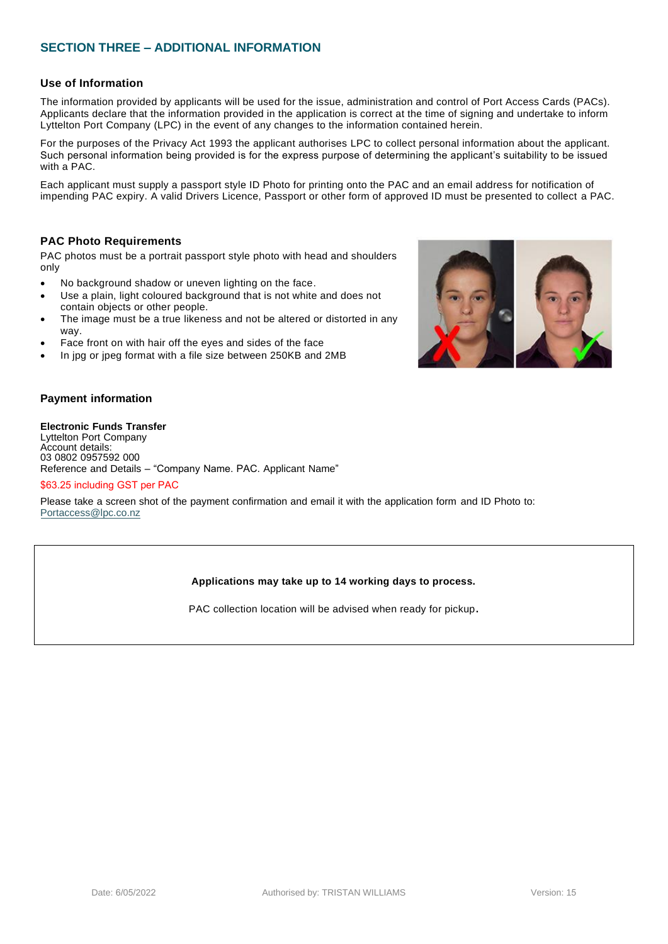## **SECTION THREE – ADDITIONAL INFORMATION**

## **Use of Information**

The information provided by applicants will be used for the issue, administration and control of Port Access Cards (PACs). Applicants declare that the information provided in the application is correct at the time of signing and undertake to inform Lyttelton Port Company (LPC) in the event of any changes to the information contained herein.

For the purposes of the Privacy Act 1993 the applicant authorises LPC to collect personal information about the applicant. Such personal information being provided is for the express purpose of determining the applicant's suitability to be issued with a PAC.

Each applicant must supply a passport style ID Photo for printing onto the PAC and an email address for notification of impending PAC expiry. A valid Drivers Licence, Passport or other form of approved ID must be presented to collect a PAC.

## **PAC Photo Requirements**

PAC photos must be a portrait passport style photo with head and shoulders only

- No background shadow or uneven lighting on the face.
- Use a plain, light coloured background that is not white and does not contain objects or other people.
- The image must be a true likeness and not be altered or distorted in any way.
- Face front on with hair off the eyes and sides of the face
- In jpg or jpeg format with a file size between 250KB and 2MB



#### **Electronic Funds Transfer**

Lyttelton Port Company Account details: 03 0802 0957592 000 Reference and Details – "Company Name. PAC. Applicant Name"

#### \$63.25 including GST per PAC

Please take a screen shot of the payment confirmation and email it with the application form and ID Photo to: [Portaccess@lpc.co.nz](mailto:Portaccess@lpc.co.nz)

### **Applications may take up to 14 working days to process.**

PAC collection location will be advised when ready for pickup**.**